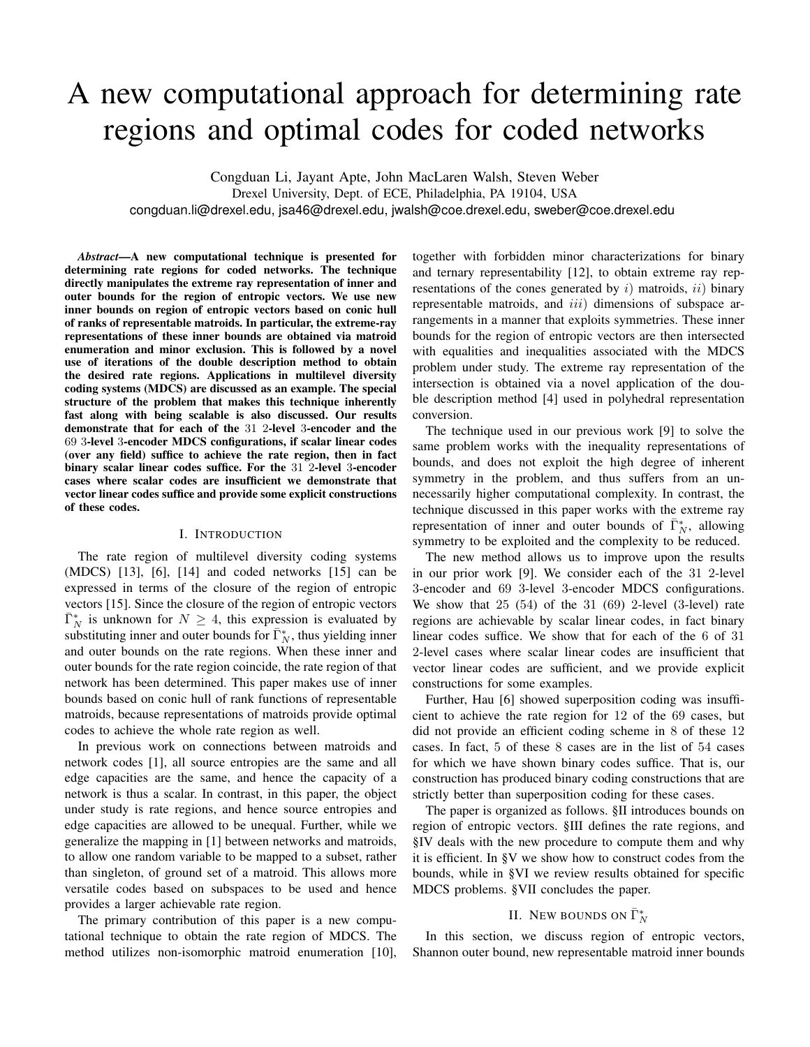# A new computational approach for determining rate regions and optimal codes for coded networks

Congduan Li, Jayant Apte, John MacLaren Walsh, Steven Weber Drexel University, Dept. of ECE, Philadelphia, PA 19104, USA congduan.li@drexel.edu, jsa46@drexel.edu, jwalsh@coe.drexel.edu, sweber@coe.drexel.edu

*Abstract*—A new computational technique is presented for determining rate regions for coded networks. The technique directly manipulates the extreme ray representation of inner and outer bounds for the region of entropic vectors. We use new inner bounds on region of entropic vectors based on conic hull of ranks of representable matroids. In particular, the extreme-ray representations of these inner bounds are obtained via matroid enumeration and minor exclusion. This is followed by a novel use of iterations of the double description method to obtain the desired rate regions. Applications in multilevel diversity coding systems (MDCS) are discussed as an example. The special structure of the problem that makes this technique inherently fast along with being scalable is also discussed. Our results demonstrate that for each of the 31 2-level 3-encoder and the 69 3-level 3-encoder MDCS configurations, if scalar linear codes (over any field) suffice to achieve the rate region, then in fact binary scalar linear codes suffice. For the 31 2-level 3-encoder cases where scalar codes are insufficient we demonstrate that vector linear codes suffice and provide some explicit constructions of these codes.

#### I. INTRODUCTION

The rate region of multilevel diversity coding systems (MDCS) [13], [6], [14] and coded networks [15] can be expressed in terms of the closure of the region of entropic vectors [15]. Since the closure of the region of entropic vectors  $\overline{\Gamma}_N^*$  is unknown for  $N \geq 4$ , this expression is evaluated by substituting inner and outer bounds for  $\bar{\Gamma}_N^*$ , thus yielding inner and outer bounds on the rate regions. When these inner and outer bounds for the rate region coincide, the rate region of that network has been determined. This paper makes use of inner bounds based on conic hull of rank functions of representable matroids, because representations of matroids provide optimal codes to achieve the whole rate region as well.

In previous work on connections between matroids and network codes [1], all source entropies are the same and all edge capacities are the same, and hence the capacity of a network is thus a scalar. In contrast, in this paper, the object under study is rate regions, and hence source entropies and edge capacities are allowed to be unequal. Further, while we generalize the mapping in [1] between networks and matroids, to allow one random variable to be mapped to a subset, rather than singleton, of ground set of a matroid. This allows more versatile codes based on subspaces to be used and hence provides a larger achievable rate region.

The primary contribution of this paper is a new computational technique to obtain the rate region of MDCS. The method utilizes non-isomorphic matroid enumeration [10], together with forbidden minor characterizations for binary and ternary representability [12], to obtain extreme ray representations of the cones generated by  $i$ ) matroids,  $ii$ ) binary representable matroids, and *iii*) dimensions of subspace arrangements in a manner that exploits symmetries. These inner bounds for the region of entropic vectors are then intersected with equalities and inequalities associated with the MDCS problem under study. The extreme ray representation of the intersection is obtained via a novel application of the double description method [4] used in polyhedral representation conversion.

The technique used in our previous work [9] to solve the same problem works with the inequality representations of bounds, and does not exploit the high degree of inherent symmetry in the problem, and thus suffers from an unnecessarily higher computational complexity. In contrast, the technique discussed in this paper works with the extreme ray representation of inner and outer bounds of  $\bar{\Gamma}_N^*$ , allowing symmetry to be exploited and the complexity to be reduced.

The new method allows us to improve upon the results in our prior work [9]. We consider each of the 31 2-level 3-encoder and 69 3-level 3-encoder MDCS configurations. We show that  $25$   $(54)$  of the  $31$   $(69)$  2-level  $(3$ -level) rate regions are achievable by scalar linear codes, in fact binary linear codes suffice. We show that for each of the 6 of 31 2-level cases where scalar linear codes are insufficient that vector linear codes are sufficient, and we provide explicit constructions for some examples.

Further, Hau [6] showed superposition coding was insufficient to achieve the rate region for 12 of the 69 cases, but did not provide an efficient coding scheme in 8 of these 12 cases. In fact, 5 of these 8 cases are in the list of 54 cases for which we have shown binary codes suffice. That is, our construction has produced binary coding constructions that are strictly better than superposition coding for these cases.

The paper is organized as follows. §II introduces bounds on region of entropic vectors. §III defines the rate regions, and §IV deals with the new procedure to compute them and why it is efficient. In §V we show how to construct codes from the bounds, while in §VI we review results obtained for specific MDCS problems. §VII concludes the paper.

# II. NEW BOUNDS ON  $\bar{\Gamma}_N^*$

In this section, we discuss region of entropic vectors, Shannon outer bound, new representable matroid inner bounds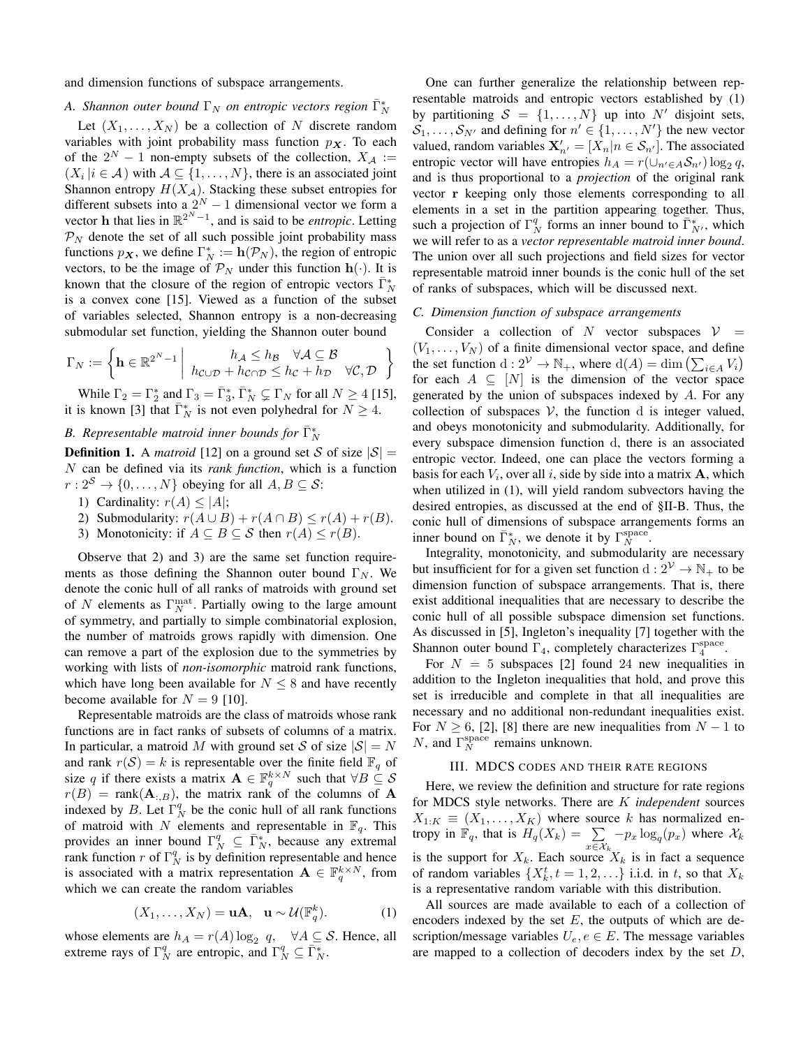and dimension functions of subspace arrangements.

# *A. Shannon outer bound*  $\Gamma_N$  *on entropic vectors region*  $\bar{\Gamma}_N^*$

Let  $(X_1, \ldots, X_N)$  be a collection of N discrete random variables with joint probability mass function  $p<sub>x</sub>$ . To each of the  $2^N - 1$  non-empty subsets of the collection,  $X_A :=$  $(X_i | i \in \mathcal{A})$  with  $\mathcal{A} \subseteq \{1, ..., N\}$ , there is an associated joint Shannon entropy  $H(X_A)$ . Stacking these subset entropies for different subsets into a  $2^N - 1$  dimensional vector we form a vector **h** that lies in  $\mathbb{R}^{2^N-1}$ , and is said to be *entropic*. Letting  $\mathcal{P}_N$  denote the set of all such possible joint probability mass functions  $p_{\boldsymbol{X}}$ , we define  $\Gamma_N^* := \mathbf{h}(\mathcal{P}_N)$ , the region of entropic vectors, to be the image of  $\mathcal{P}_N$  under this function  $\mathbf{h}(\cdot)$ . It is known that the closure of the region of entropic vectors  $\overline{\Gamma}_N^*$ is a convex cone [15]. Viewed as a function of the subset of variables selected, Shannon entropy is a non-decreasing submodular set function, yielding the Shannon outer bound

$$
\Gamma_N:=\left\{\mathbf{h}\in\mathbb{R}^{2^N-1}\left|\begin{array}{cc}h_\mathcal{A}\leq h_\mathcal{B} & \forall \mathcal{A}\subseteq\mathcal{B} \\ h_{\mathcal{C}\cup\mathcal{D}}+h_{\mathcal{C}\cap\mathcal{D}}\leq h_\mathcal{C}+h_\mathcal{D} & \forall \mathcal{C},\mathcal{D}\end{array}\right.\right\}
$$

While  $\Gamma_2 = \Gamma_2^*$  and  $\Gamma_3 = \bar{\Gamma}_3^*, \bar{\Gamma}_N^* \subsetneq \Gamma_N$  for all  $N \geq 4$  [15], it is known [3] that  $\bar{\Gamma}_N^*$  is not even polyhedral for  $N \geq 4$ .

# B. Representable matroid inner bounds for  $\bar{\Gamma}_{N}^{*}$

**Definition 1.** A *matroid* [12] on a ground set S of size  $|S|$  = N can be defined via its *rank function*, which is a function  $r: 2^S \to \{0, \ldots, N\}$  obeying for all  $A, B \subseteq S$ :

- 1) Cardinality:  $r(A) \le |A|$ ;
- 2) Submodularity:  $r(A \cup B) + r(A \cap B) \le r(A) + r(B)$ .
- 3) Monotonicity: if  $A \subseteq B \subseteq S$  then  $r(A) \leq r(B)$ .

Observe that 2) and 3) are the same set function requirements as those defining the Shannon outer bound  $\Gamma_N$ . We denote the conic hull of all ranks of matroids with ground set of N elements as  $\Gamma_N^{\text{mat}}$ . Partially owing to the large amount of symmetry, and partially to simple combinatorial explosion, the number of matroids grows rapidly with dimension. One can remove a part of the explosion due to the symmetries by working with lists of *non-isomorphic* matroid rank functions, which have long been available for  $N \leq 8$  and have recently become available for  $N = 9$  [10].

Representable matroids are the class of matroids whose rank functions are in fact ranks of subsets of columns of a matrix. In particular, a matroid M with ground set S of size  $|S| = N$ and rank  $r(S) = k$  is representable over the finite field  $\mathbb{F}_q$  of size q if there exists a matrix  $\mathbf{A} \in \mathbb{F}_q^{k \times N}$  such that  $\forall B \subseteq S$  $r(B)$  = rank $(A_{:B})$ , the matrix rank of the columns of A indexed by B. Let  $\Gamma_N^q$  be the conic hull of all rank functions of matroid with N elements and representable in  $\mathbb{F}_q$ . This provides an inner bound  $\Gamma_N^q \subseteq \overline{\Gamma_N^*}$ , because any extremal rank function r of  $\Gamma_N^q$  is by definition representable and hence is associated with a matrix representation  $\mathbf{A} \in \mathbb{F}_q^{k \times N}$ , from which we can create the random variables

$$
(X_1, \dots, X_N) = \mathbf{u}\mathbf{A}, \quad \mathbf{u} \sim \mathcal{U}(\mathbb{F}_q^k). \tag{1}
$$

whose elements are  $h_A = r(A) \log_2 q$ ,  $\forall A \subseteq S$ . Hence, all extreme rays of  $\Gamma_N^q$  are entropic, and  $\Gamma_N^q \subseteq \overline{\Gamma}_N^*$ .

One can further generalize the relationship between representable matroids and entropic vectors established by (1) by partitioning  $S = \{1, \ldots, N\}$  up into N' disjoint sets,  $S_1, \ldots, S_{N'}$  and defining for  $n' \in \{1, \ldots, N'\}$  the new vector valued, random variables  $\mathbf{X}'_{n'} = [X_n|n \in S_{n'}]$ . The associated entropic vector will have entropies  $h_A = r(\cup_{n' \in A} S_{n'}) \log_2 q$ , and is thus proportional to a *projection* of the original rank vector r keeping only those elements corresponding to all elements in a set in the partition appearing together. Thus, such a projection of  $\Gamma_N^q$  forms an inner bound to  $\overline{\Gamma}_{N'}^*$ , which we will refer to as a *vector representable matroid inner bound*. The union over all such projections and field sizes for vector representable matroid inner bounds is the conic hull of the set of ranks of subspaces, which will be discussed next.

#### *C. Dimension function of subspace arrangements*

Consider a collection of N vector subspaces  $V =$  $(V_1, \ldots, V_N)$  of a finite dimensional vector space, and define the set function  $d: 2^{\mathcal{V}} \to \mathbb{N}_+$ , where  $d(A) = \dim \left( \sum_{i \in A} V_i \right)$ for each  $A \subseteq [N]$  is the dimension of the vector space generated by the union of subspaces indexed by A. For any collection of subspaces  $V$ , the function d is integer valued, and obeys monotonicity and submodularity. Additionally, for every subspace dimension function d, there is an associated entropic vector. Indeed, one can place the vectors forming a basis for each  $V_i$ , over all i, side by side into a matrix  $A$ , which when utilized in (1), will yield random subvectors having the desired entropies, as discussed at the end of §II-B. Thus, the conic hull of dimensions of subspace arrangements forms an inner bound on  $\bar{\Gamma}_N^*$ , we denote it by  $\Gamma_N^{\text{space}}$ .

Integrality, monotonicity, and submodularity are necessary but insufficient for for a given set function  $d: 2^{\mathcal{V}} \to \mathbb{N}_+$  to be dimension function of subspace arrangements. That is, there exist additional inequalities that are necessary to describe the conic hull of all possible subspace dimension set functions. As discussed in [5], Ingleton's inequality [7] together with the Shannon outer bound  $\Gamma_4$ , completely characterizes  $\Gamma_4^{\text{space}}$ .

For  $N = 5$  subspaces [2] found 24 new inequalities in addition to the Ingleton inequalities that hold, and prove this set is irreducible and complete in that all inequalities are necessary and no additional non-redundant inequalities exist. For  $N \geq 6$ , [2], [8] there are new inequalities from  $N - 1$  to N, and  $\Gamma_N^{\text{space}}$  remains unknown.

## III. MDCS CODES AND THEIR RATE REGIONS

Here, we review the definition and structure for rate regions for MDCS style networks. There are K *independent* sources  $X_{1:K} \equiv (X_1, \ldots, X_K)$  where source k has normalized entropy in  $\mathbb{F}_q$ , that is  $H_q(X_k) = \sum$  $\sum_{x \in \mathcal{X}_k} -p_x \log_q(p_x)$  where  $\mathcal{X}_k$ is the support for  $X_k$ . Each source  $X_k$  is in fact a sequence of random variables  $\{X_k^t, t = 1, 2, \ldots\}$  i.i.d. in t, so that  $X_k$ is a representative random variable with this distribution.

All sources are made available to each of a collection of encoders indexed by the set  $E$ , the outputs of which are description/message variables  $U_e, e \in E$ . The message variables are mapped to a collection of decoders index by the set  $D$ ,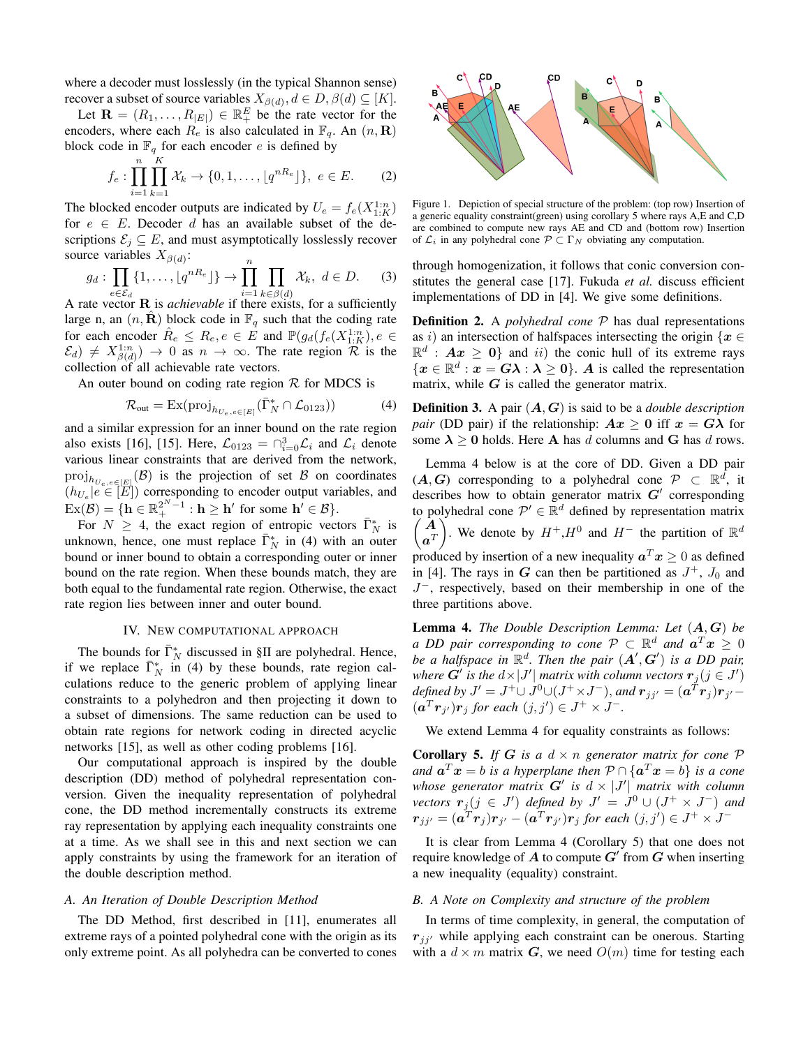where a decoder must losslessly (in the typical Shannon sense) recover a subset of source variables  $X_{\beta(d)}$ ,  $d \in D$ ,  $\beta(d) \subseteq [K]$ .

Let  $\mathbf{R} = (R_1, \dots, R_{|E|}) \in \mathbb{R}^E_+$  be the rate vector for the encoders, where each  $R_e$  is also calculated in  $\mathbb{F}_q$ . An  $(n, \mathbf{R})$ block code in  $\mathbb{F}_q$  for each encoder e is defined by

$$
f_e: \prod_{i=1}^n \prod_{k=1}^K \mathcal{X}_k \to \{0, 1, \dots, \lfloor q^{nR_e} \rfloor \}, \ e \in E. \tag{2}
$$

The blocked encoder outputs are indicated by  $U_e = f_e(X_{1:K}^{1:n})$ for  $e \in E$ . Decoder d has an available subset of the descriptions  $\mathcal{E}_j \subseteq E$ , and must asymptotically losslessly recover source variables  $X_{\beta(d)}$ :

$$
g_d: \prod_{e \in \mathcal{E}_d} \{1, \ldots, \lfloor q^{nR_e} \rfloor \} \to \prod_{i=1}^n \prod_{k \in \beta(d)} \mathcal{X}_k, \ d \in D. \tag{3}
$$

A rate vector **R** is *achievable* if there exists, for a sufficiently large n, an  $(n, \mathbf{R})$  block code in  $\mathbb{F}_q$  such that the coding rate for each encoder  $\hat{R}_e \leq R_e, e \in \hat{E}$  and  $\mathbb{P}(g_d(f_e(X_{1:K}^{1:n}), e \in$  $(\mathcal{E}_d) \neq X_{\beta(d)}^{1:n}$   $\rightarrow$  0 as  $n \rightarrow \infty$ . The rate region  $\mathcal R$  is the collection of all achievable rate vectors.

An outer bound on coding rate region  $R$  for MDCS is

$$
\mathcal{R}_{\text{out}} = \text{Ex}(\text{proj}_{h_{U_e, e \in [E]}}(\bar{\Gamma}_N^* \cap \mathcal{L}_{0123})) \tag{4}
$$

and a similar expression for an inner bound on the rate region also exists [16], [15]. Here,  $\mathcal{L}_{0123} = \bigcap_{i=0}^{3} \mathcal{L}_i$  and  $\mathcal{L}_i$  denote various linear constraints that are derived from the network,  $\text{proj}_{h_{U_e,e\in[E]}}(\mathcal{B})$  is the projection of set  $\mathcal B$  on coordinates  $(h_{U_e} | e \in [E])$  corresponding to encoder output variables, and  $\mathrm{Ex}(\mathcal{B}) = \{ \mathbf{h} \in \mathbb{R}_+^{2^{N}-1} : \mathbf{h} \geq \mathbf{h}' \text{ for some } \mathbf{h}' \in \mathcal{B} \}.$ 

For  $N \geq 4$ , the exact region of entropic vectors  $\bar{\Gamma}_N^*$  is unknown, hence, one must replace  $\overline{\Gamma}_N^*$  in (4) with an outer bound or inner bound to obtain a corresponding outer or inner bound on the rate region. When these bounds match, they are both equal to the fundamental rate region. Otherwise, the exact rate region lies between inner and outer bound.

#### IV. NEW COMPUTATIONAL APPROACH

The bounds for  $\bar{\Gamma}_N^*$  discussed in §II are polyhedral. Hence, if we replace  $\overline{\Gamma}_N^*$  in (4) by these bounds, rate region calculations reduce to the generic problem of applying linear constraints to a polyhedron and then projecting it down to a subset of dimensions. The same reduction can be used to obtain rate regions for network coding in directed acyclic networks [15], as well as other coding problems [16].

Our computational approach is inspired by the double description (DD) method of polyhedral representation conversion. Given the inequality representation of polyhedral cone, the DD method incrementally constructs its extreme ray representation by applying each inequality constraints one at a time. As we shall see in this and next section we can apply constraints by using the framework for an iteration of the double description method.

## *A. An Iteration of Double Description Method*

The DD Method, first described in [11], enumerates all extreme rays of a pointed polyhedral cone with the origin as its only extreme point. As all polyhedra can be converted to cones



Figure 1. Depiction of special structure of the problem: (top row) Insertion of a generic equality constraint(green) using corollary 5 where rays A,E and C,D are combined to compute new rays AE and CD and (bottom row) Insertion of  $\mathcal{L}_i$  in any polyhedral cone  $\mathcal{P} \subset \Gamma_N$  obviating any computation.

through homogenization, it follows that conic conversion constitutes the general case [17]. Fukuda *et al.* discuss efficient implementations of DD in [4]. We give some definitions.

Definition 2. A *polyhedral cone* P has dual representations as i) an intersection of halfspaces intersecting the origin  $\{x \in$  $\mathbb{R}^d$  :  $Ax \geq 0$  and ii) the conic hull of its extreme rays  $\{x \in \mathbb{R}^d : x = G\lambda : \lambda \ge 0\}$ . A is called the representation matrix, while  $G$  is called the generator matrix.

Definition 3. A pair (A, G) is said to be a *double description pair* (DD pair) if the relationship:  $Ax \geq 0$  iff  $x = G\lambda$  for some  $\lambda > 0$  holds. Here A has d columns and G has d rows.

Lemma 4 below is at the core of DD. Given a DD pair  $(A, G)$  corresponding to a polyhedral cone  $\mathcal{P} \subset \mathbb{R}^d$ , it describes how to obtain generator matrix  $G'$  corresponding to polyhedral cone  $\mathcal{P}' \in \mathbb{R}^d$  $\overline{ }$ defined by representation matrix A  $\pmb{a}^T$ ). We denote by  $H^+, H^0$  and  $H^-$  the partition of  $\mathbb{R}^d$ produced by insertion of a new inequality  $a^T x \ge 0$  as defined in [4]. The rays in G can then be partitioned as  $J^+$ ,  $J_0$  and J <sup>−</sup>, respectively, based on their membership in one of the three partitions above.

Lemma 4. *The Double Description Lemma: Let* (A, G) *be a DD pair corresponding to cone*  $P \subset \mathbb{R}^d$  *and*  $a^T x \ge 0$ be a halfspace in  $\mathbb{R}^d$ . Then the pair  $(A', G')$  is a DD pair, *where*  $G'$  is the  $d \times |J'|$  *matrix with column vectors*  $r_j$  ( $j \in J'$ ) *defined by*  $J' = J^+ \cup J^0 \cup (J^+ \times J^-)$ , and  $\mathbf{r}_{jj'} = (\mathbf{a}^T \mathbf{r}_j) \mathbf{r}_{j'} (a^T r_{j'}) r_j$  for each  $(j, j') \in J^+ \times J^-$ .

We extend Lemma 4 for equality constraints as follows:

**Corollary 5.** *If*  $G$  *is a*  $d \times n$  *generator matrix for cone*  $P$ and  $a^T x = b$  *is a hyperplane then*  $P \cap \{a^T x = b\}$  *is a cone* whose generator matrix  $G'$  is  $d \times |J'|$  matrix with column *vectors*  $r_j (j \in J')$  *defined by*  $J' = J^0 \cup (J^+ \times J^-)$  *and*  $\bm{r}_{jj'} = (\bm{a}^T\bm{r}_j)\bm{r}_{j'} - (\bm{a}^T\bm{r}_{j'})\bm{r}_j$  for each  $(j,j') \in J^+ \times J^-$ 

It is clear from Lemma 4 (Corollary 5) that one does not require knowledge of A to compute  $G'$  from  $G$  when inserting a new inequality (equality) constraint.

## *B. A Note on Complexity and structure of the problem*

In terms of time complexity, in general, the computation of  $r_{jj'}$  while applying each constraint can be onerous. Starting with a  $d \times m$  matrix G, we need  $O(m)$  time for testing each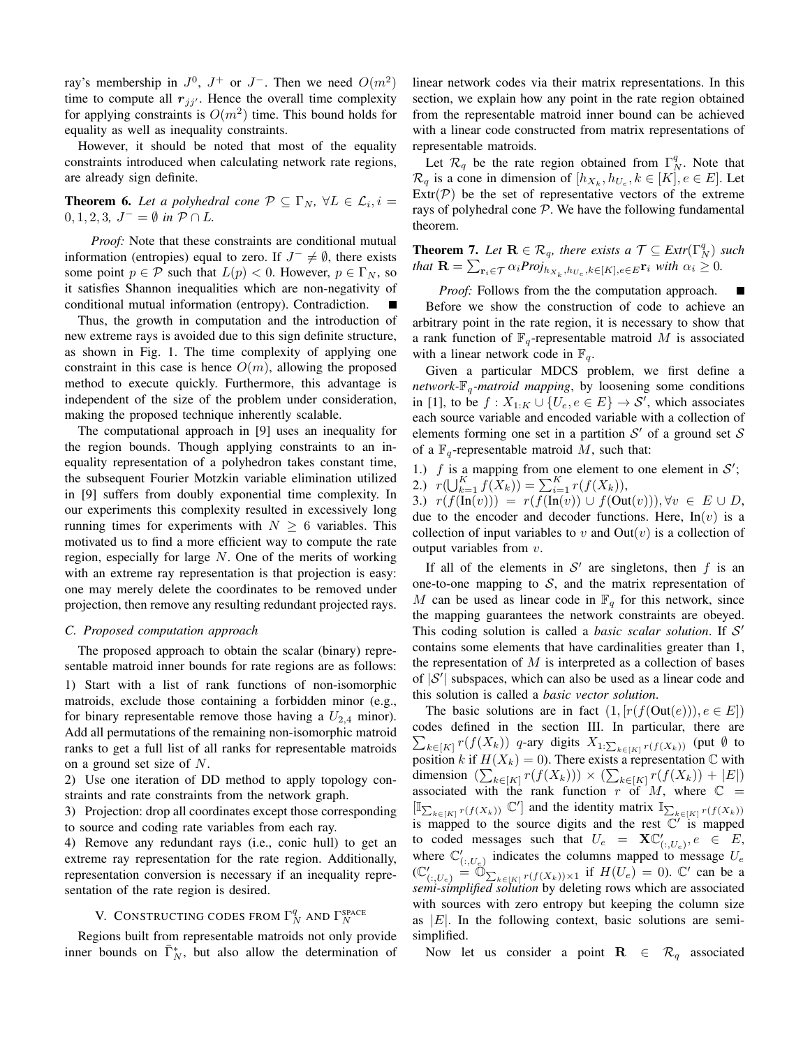ray's membership in  $J^0$ ,  $J^+$  or  $J^-$ . Then we need  $O(m^2)$ time to compute all  $r_{ji'}$ . Hence the overall time complexity for applying constraints is  $O(m^2)$  time. This bound holds for equality as well as inequality constraints.

However, it should be noted that most of the equality constraints introduced when calculating network rate regions, are already sign definite.

**Theorem 6.** Let a polyhedral cone  $P \subseteq \Gamma_N$ ,  $\forall L \in \mathcal{L}_i$ ,  $i =$  $0, 1, 2, 3, J^- = \emptyset$  *in*  $P \cap L$ .

*Proof:* Note that these constraints are conditional mutual information (entropies) equal to zero. If  $J^- \neq \emptyset$ , there exists some point  $p \in \mathcal{P}$  such that  $L(p) < 0$ . However,  $p \in \Gamma_N$ , so it satisfies Shannon inequalities which are non-negativity of conditional mutual information (entropy). Contradiction.  $\blacksquare$ 

Thus, the growth in computation and the introduction of new extreme rays is avoided due to this sign definite structure, as shown in Fig. 1. The time complexity of applying one constraint in this case is hence  $O(m)$ , allowing the proposed method to execute quickly. Furthermore, this advantage is independent of the size of the problem under consideration, making the proposed technique inherently scalable.

The computational approach in [9] uses an inequality for the region bounds. Though applying constraints to an inequality representation of a polyhedron takes constant time, the subsequent Fourier Motzkin variable elimination utilized in [9] suffers from doubly exponential time complexity. In our experiments this complexity resulted in excessively long running times for experiments with  $N \geq 6$  variables. This motivated us to find a more efficient way to compute the rate region, especially for large  $N$ . One of the merits of working with an extreme ray representation is that projection is easy: one may merely delete the coordinates to be removed under projection, then remove any resulting redundant projected rays.

#### *C. Proposed computation approach*

The proposed approach to obtain the scalar (binary) representable matroid inner bounds for rate regions are as follows: 1) Start with a list of rank functions of non-isomorphic matroids, exclude those containing a forbidden minor (e.g., for binary representable remove those having a  $U_{2,4}$  minor). Add all permutations of the remaining non-isomorphic matroid ranks to get a full list of all ranks for representable matroids on a ground set size of N.

2) Use one iteration of DD method to apply topology constraints and rate constraints from the network graph.

3) Projection: drop all coordinates except those corresponding to source and coding rate variables from each ray.

4) Remove any redundant rays (i.e., conic hull) to get an extreme ray representation for the rate region. Additionally, representation conversion is necessary if an inequality representation of the rate region is desired.

# V. CONSTRUCTING CODES FROM  $\Gamma_N^q$  and  $\Gamma_N^{\text{space}}$

Regions built from representable matroids not only provide inner bounds on  $\overline{\Gamma}_N^*$ , but also allow the determination of linear network codes via their matrix representations. In this section, we explain how any point in the rate region obtained from the representable matroid inner bound can be achieved with a linear code constructed from matrix representations of representable matroids.

Let  $\mathcal{R}_q$  be the rate region obtained from  $\Gamma_N^q$ . Note that  $\mathcal{R}_q$  is a cone in dimension of  $[h_{X_k}, h_{U_e}, k \in [K], e \in E]$ . Let  $\text{Extr}(\mathcal{P})$  be the set of representative vectors of the extreme rays of polyhedral cone  $P$ . We have the following fundamental theorem.

**Theorem 7.** Let  $\mathbf{R} \in \mathcal{R}_q$ , there exists a  $\mathcal{T} \subseteq \text{Extr}(\Gamma_N^q)$  such *that*  $\mathbf{R} = \sum_{\mathbf{r}_i \in \mathcal{T}} \alpha_i Proj_{h_{X_k}, h_{U_e}, k \in [K], e \in E} \mathbf{r}_i$  *with*  $\alpha_i \geq 0$ *.* 

*Proof:* Follows from the the computation approach. П

Before we show the construction of code to achieve an arbitrary point in the rate region, it is necessary to show that a rank function of  $\mathbb{F}_q$ -representable matroid M is associated with a linear network code in  $\mathbb{F}_q$ .

Given a particular MDCS problem, we first define a *network*- $\mathbb{F}_q$ -matroid mapping, by loosening some conditions in [1], to be  $f: X_{1:K} \cup \{U_e, e \in E\} \rightarrow S'$ , which associates each source variable and encoded variable with a collection of elements forming one set in a partition  $S'$  of a ground set S of a  $\mathbb{F}_q$ -representable matroid M, such that:

1.) f is a mapping from one element to one element in S'; 2.)  $r(\bigcup_{k=1}^{K} f(X_k)) = \sum_{i=1}^{K} r(f(X_k)),$ 

3.)  $r(f(\overline{\text{In}}(v))) = r(f(\overline{\text{In}}(v))) \cup f(\text{Out}(v)))$ ,  $\forall v \in E \cup D$ , due to the encoder and decoder functions. Here,  $In(v)$  is a collection of input variables to v and  $Out(v)$  is a collection of output variables from v.

If all of the elements in  $S'$  are singletons, then f is an one-to-one mapping to  $S$ , and the matrix representation of M can be used as linear code in  $\mathbb{F}_q$  for this network, since the mapping guarantees the network constraints are obeyed. This coding solution is called a *basic scalar solution*. If S 0 contains some elements that have cardinalities greater than 1, the representation of  $M$  is interpreted as a collection of bases of  $|S'|$  subspaces, which can also be used as a linear code and this solution is called a *basic vector solution*.

The basic solutions are in fact  $(1, [r(f(Out(e))), e \in E])$ codes defined in the section III. In particular, there are  $\sum_{k\in[K]} r(f(X_k))$  q-ary digits  $X_{1:\sum_{k\in[K]} r(f(X_k))}$  (put  $\emptyset$  to position k if  $H(X_k) = 0$ ). There exists a representation  $\mathbb C$  with dimension  $(\sum_{k \in [K]} r(f(X_k))) \times (\sum_{k \in [K]} r(f(X_k)) + |E|)$ associated with the rank function r of M, where  $\mathbb{C}$  =  $[\mathbb{I}_{\sum_{k\in [K]} r(f(X_k))} \mathbb{C}']$  and the identity matrix  $\mathbb{I}_{\sum_{k\in [K]} r(f(X_k))}$ is mapped to the source digits and the rest  $\overline{C'}$  is mapped to coded messages such that  $U_e = \mathbf{X} \mathbb{C}'_{(:,U_e)}, e \in E$ , where  $\mathbb{C}'_{(:,U_e)}$  indicates the columns mapped to message  $U_e$  $(\mathbb{C}'_{(:,U_e)} \stackrel{(\cdot,\cdot,\cdot)_e}{=} \mathbb{O}_{\sum_{k\in [K]} r(f(X_k))\times 1}$  if  $H(U_e) = 0$ ).  $\mathbb{C}'$  can be a *semi-simplified solution* by deleting rows which are associated with sources with zero entropy but keeping the column size as  $|E|$ . In the following context, basic solutions are semisimplified.

Now let us consider a point  $\mathbf{R} \in \mathcal{R}_q$  associated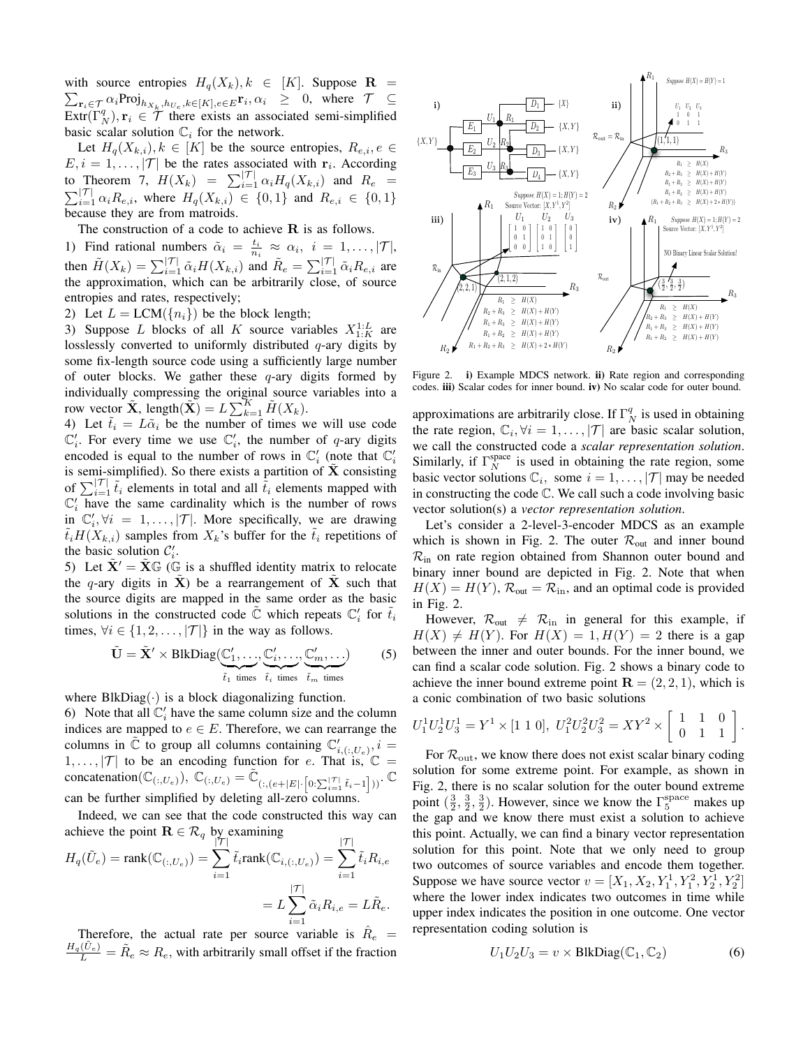with source entropies  $H_q(X_k), k \in [K]$ . Suppose  $\mathbf{R}$  =  $\sum_{\mathbf{r}_i \in \mathcal{T}} \alpha_i \text{Proj}_{h_{X_k}, h_{U_e}, k \in [K], e \in E} \mathbf{r}_i, \alpha_i \geq 0$ , where  $\mathcal{T} \subseteq$  $\text{Extr}(\Gamma_N^q), \mathbf{r}_i \in \mathcal{T}$  there exists an associated semi-simplified basic scalar solution  $\mathbb{C}_i$  for the network.

Let  $H_q(X_{k,i}), k \in [K]$  be the source entropies,  $R_{e,i}, e \in$  $E, i = 1, \ldots, |\mathcal{T}|$  be the rates associated with  $\mathbf{r}_i$ . According to Theorem 7,  $H(X_k) = \sum_{i=1}^{\vert \mathcal{T} \vert} \alpha_i H_q(X_{k,i})$  and  $R_e = \sum_{i=1}^{\vert \mathcal{T} \vert} \alpha_i R_{e,i}$ , where  $H_q(X_{k,i}) \in \{0,1\}$  and  $R_{e,i} \in \{0,1\}$  $\sum_{i=1}^{|\mathcal{T}|} \alpha_i R_{e,i}$ , where  $H_q(X_{k,i}) \in \{0,1\}$  and  $R_{e,i} \in \{0,1\}$ because they are from matroids.

The construction of a code to achieve  $R$  is as follows.

1) Find rational numbers  $\tilde{\alpha}_i = \frac{t_i}{n_i} \approx \alpha_i, i = 1, \ldots, |\mathcal{T}|,$ then  $\tilde{H}(X_k) = \sum_{i=1}^{\vert \mathcal{T} \vert} \tilde{\alpha}_i H(X_{k,i})$  and  $\tilde{R}_e = \sum_{i=1}^{\vert \mathcal{T} \vert} \tilde{\alpha}_i R_{e,i}$  are the approximation, which can be arbitrarily close, of source entropies and rates, respectively;

2) Let  $L = LCM({n_i})$  be the block length;

3) Suppose L blocks of all K source variables  $X_{1:K}^{1:L}$  are losslessly converted to uniformly distributed  $q$ -ary digits by some fix-length source code using a sufficiently large number of outer blocks. We gather these  $q$ -ary digits formed by individually compressing the original source variables into a row vector  $\tilde{\mathbf{X}}$ , length $(\tilde{\mathbf{X}}) = L \sum_{k=1}^{K} \tilde{H}(X_k)$ .

4) Let  $\tilde{t}_i = L\tilde{\alpha}_i$  be the number of times we will use code  $\mathbb{C}'_i$ . For every time we use  $\mathbb{C}'_i$ , the number of q-ary digits encoded is equal to the number of rows in  $\mathbb{C}'_i$  (note that  $\mathbb{C}'_i$ is semi-simplified). So there exists a partition of  $\tilde{\mathbf{X}}$  consisting of  $\sum_{i=1}^{\vert \mathcal{T} \vert} \tilde{t}_i$  elements in total and all  $\tilde{t}_i$  elements mapped with  $\mathbb{C}'_i$  have the same cardinality which is the number of rows in  $\mathbb{C}'_i$ ,  $\forall i = 1, ..., |\mathcal{T}|$ . More specifically, we are drawing  $\tilde{t}_iH(X_{k,i})$  samples from  $X_k$ 's buffer for the  $\tilde{t}_i$  repetitions of the basic solution  $\mathcal{C}'_i$ .

5) Let  $\tilde{\mathbf{X}}' = \tilde{\mathbf{X}} \mathbb{G}$  (G is a shuffled identity matrix to relocate the q-ary digits in  $\tilde{\mathbf{X}}$ ) be a rearrangement of  $\tilde{\mathbf{X}}$  such that the source digits are mapped in the same order as the basic solutions in the constructed code  $\tilde{\mathbb{C}}$  which repeats  $\mathbb{C}'_i$  for  $\tilde{t}_i$ times,  $\forall i \in \{1, 2, \ldots, |\mathcal{T}|\}$  in the way as follows.

$$
\tilde{\mathbf{U}} = \tilde{\mathbf{X}}' \times \text{BlkDiag}(\underbrace{\mathbb{C}'_1, \dots, \mathbb{C}'_i, \dots, \mathbb{C}'_m, \dots}_{\tilde{t}_1 \text{ times}})
$$
(5)

where  $BlkDiag(\cdot)$  is a block diagonalizing function. 6) Note that all  $\mathbb{C}'_i$  have the same column size and the column indices are mapped to  $e \in E$ . Therefore, we can rearrange the columns in  $\tilde{C}$  to group all columns containing  $C'_{i,(t,U_e)}, i =$  $1, \ldots, |\mathcal{T}|$  to be an encoding function for e. That is,  $\mathbb{C} =$ concatenation( $\mathbb{C}_{(:,U_e)}$ ),  $\mathbb{C}_{(:,U_e)} = \tilde{\mathbb{C}}_{(:,(e+|E|\cdot [0:\sum_{i=1}^{|\mathcal{T}|} \tilde{t}_i-1]))}$ . can be further simplified by deleting all-zero columns.

Indeed, we can see that the code constructed this way can achieve the point  $\mathbf{R} \in \mathcal{R}_q$  by examining  $|\tau|$ 

$$
H_q(\tilde{U}_e) = \text{rank}(\mathbb{C}_{(:,U_e)}) = \sum_{i=1}^{|I|} \tilde{t}_i \text{rank}(\mathbb{C}_{i,(:,U_e)}) = \sum_{i=1}^{|I|} \tilde{t}_i R_{i,e}
$$

$$
= L \sum_{i=1}^{|I|} \tilde{\alpha}_i R_{i,e} = L \tilde{R}_e.
$$

Therefore, the actual rate per source variable is  $\hat{R}_e$  =  $\frac{H_q(\tilde{U}_e)}{L} = \tilde{R}_e \approx R_e$ , with arbitrarily small offset if the fraction



Figure 2. i) Example MDCS network. ii) Rate region and corresponding codes. iii) Scalar codes for inner bound. iv) No scalar code for outer bound.

approximations are arbitrarily close. If  $\Gamma_N^q$  is used in obtaining the rate region,  $\mathbb{C}_i$ ,  $\forall i = 1, \ldots, |\mathcal{T}|$  are basic scalar solution, we call the constructed code a *scalar representation solution*. Similarly, if  $\Gamma_N^{\text{space}}$  is used in obtaining the rate region, some basic vector solutions  $\mathbb{C}_i$ , some  $i = 1, ..., |\mathcal{T}|$  may be needed in constructing the code C. We call such a code involving basic vector solution(s) a *vector representation solution*.

Let's consider a 2-level-3-encoder MDCS as an example which is shown in Fig. 2. The outer  $\mathcal{R}_{out}$  and inner bound  $\mathcal{R}_{\text{in}}$  on rate region obtained from Shannon outer bound and binary inner bound are depicted in Fig. 2. Note that when  $H(X) = H(Y)$ ,  $\mathcal{R}_{out} = \mathcal{R}_{in}$ , and an optimal code is provided in Fig. 2.

However,  $\mathcal{R}_{out} \neq \mathcal{R}_{in}$  in general for this example, if  $H(X) \neq H(Y)$ . For  $H(X) = 1, H(Y) = 2$  there is a gap between the inner and outer bounds. For the inner bound, we can find a scalar code solution. Fig. 2 shows a binary code to achieve the inner bound extreme point  $\mathbf{R} = (2, 2, 1)$ , which is a conic combination of two basic solutions

$$
U_1^1 U_2^1 U_3^1 = Y^1 \times [1 \ 1 \ 0], \ U_1^2 U_2^2 U_3^2 = XY^2 \times \begin{bmatrix} 1 & 1 & 0 \\ 0 & 1 & 1 \end{bmatrix}.
$$

For  $\mathcal{R}_{\text{out}}$ , we know there does not exist scalar binary coding solution for some extreme point. For example, as shown in Fig. 2, there is no scalar solution for the outer bound extreme point  $(\frac{3}{2}, \frac{3}{2}, \frac{3}{2})$ . However, since we know the  $\Gamma_5^{\text{space}}$  makes up the gap and we know there must exist a solution to achieve this point. Actually, we can find a binary vector representation solution for this point. Note that we only need to group two outcomes of source variables and encode them together. Suppose we have source vector  $v = [X_1, X_2, Y_1^1, Y_1^2, Y_2^1, Y_2^2]$ where the lower index indicates two outcomes in time while upper index indicates the position in one outcome. One vector representation coding solution is

$$
U_1 U_2 U_3 = v \times \text{BlkDiag}(\mathbb{C}_1, \mathbb{C}_2)
$$
 (6)